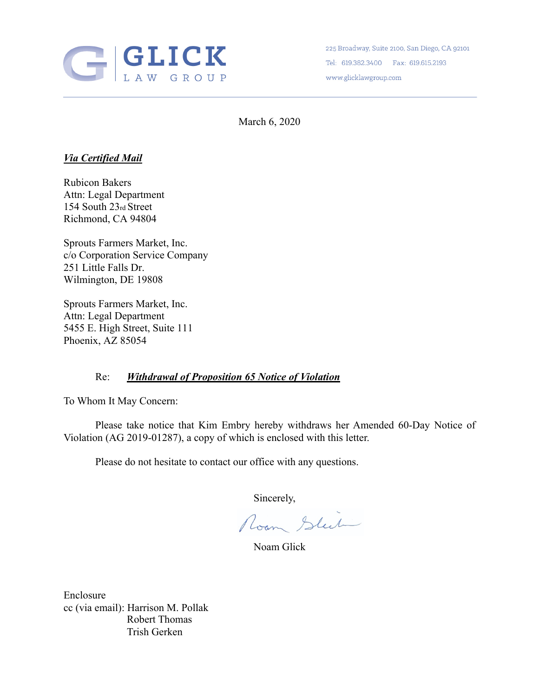

225 Broadway, Suite 2100, San Diego, CA 92101 Tel: 619.382.3400 Fax: 619.615.2193 www.glicklawgroup.com

March 6, 2020

## *Via Certified Mail*

Rubicon Bakers Attn: Legal Department 154 South 23rd Street Richmond, CA 94804

Sprouts Farmers Market, Inc. c/o Corporation Service Company 251 Little Falls Dr. Wilmington, DE 19808

Sprouts Farmers Market, Inc. Attn: Legal Department 5455 E. High Street, Suite 111 Phoenix, AZ 85054

## Re: *Withdrawal of Proposition 65 Notice of Violation*

To Whom It May Concern:

Please take notice that Kim Embry hereby withdraws her Amended 60-Day Notice of Violation (AG 2019-01287), a copy of which is enclosed with this letter.

Please do not hesitate to contact our office with any questions.

Sincerely,<br>Room Sluit

Noam Glick

Enclosure cc (via email): Harrison M. Pollak Robert Thomas Trish Gerken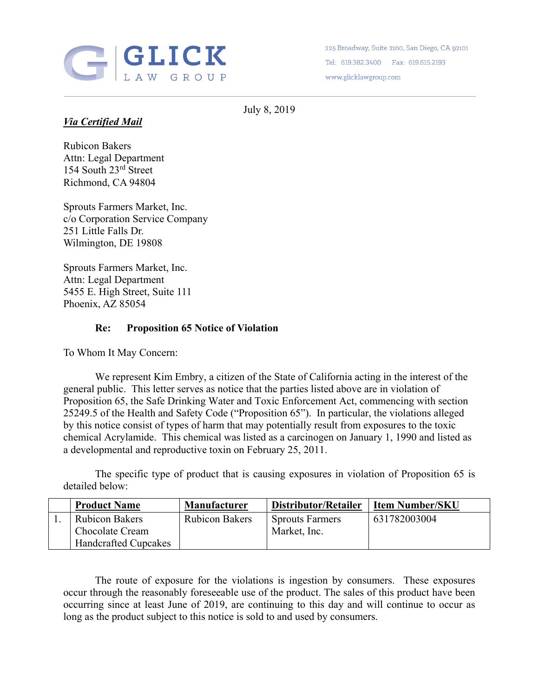

225 Broadway, Suite 2100, San Diego, CA 92101 Tel: 619.382.3400 Fax: 619.615.2193 www.glicklawgroup.com

July 8, 2019

## *Via Certified Mail*

Rubicon Bakers Attn: Legal Department 154 South 23rd Street Richmond, CA 94804

Sprouts Farmers Market, Inc. c/o Corporation Service Company 251 Little Falls Dr. Wilmington, DE 19808

Sprouts Farmers Market, Inc. Attn: Legal Department 5455 E. High Street, Suite 111 Phoenix, AZ 85054

## **Re: Proposition 65 Notice of Violation**

To Whom It May Concern:

We represent Kim Embry, a citizen of the State of California acting in the interest of the general public. This letter serves as notice that the parties listed above are in violation of Proposition 65, the Safe Drinking Water and Toxic Enforcement Act, commencing with section 25249.5 of the Health and Safety Code ("Proposition 65"). In particular, the violations alleged by this notice consist of types of harm that may potentially result from exposures to the toxic chemical Acrylamide. This chemical was listed as a carcinogen on January 1, 1990 and listed as a developmental and reproductive toxin on February 25, 2011.

The specific type of product that is causing exposures in violation of Proposition 65 is detailed below:

| <b>Product Name</b>         | <b>Manufacturer</b>   | Distributor/Retailer   | <b>Item Number/SKU</b> |
|-----------------------------|-----------------------|------------------------|------------------------|
| <b>Rubicon Bakers</b>       | <b>Rubicon Bakers</b> | <b>Sprouts Farmers</b> | 631782003004           |
| Chocolate Cream             |                       | Market, Inc.           |                        |
| <b>Handcrafted Cupcakes</b> |                       |                        |                        |

 The route of exposure for the violations is ingestion by consumers. These exposures occur through the reasonably foreseeable use of the product. The sales of this product have been occurring since at least June of 2019, are continuing to this day and will continue to occur as long as the product subject to this notice is sold to and used by consumers.